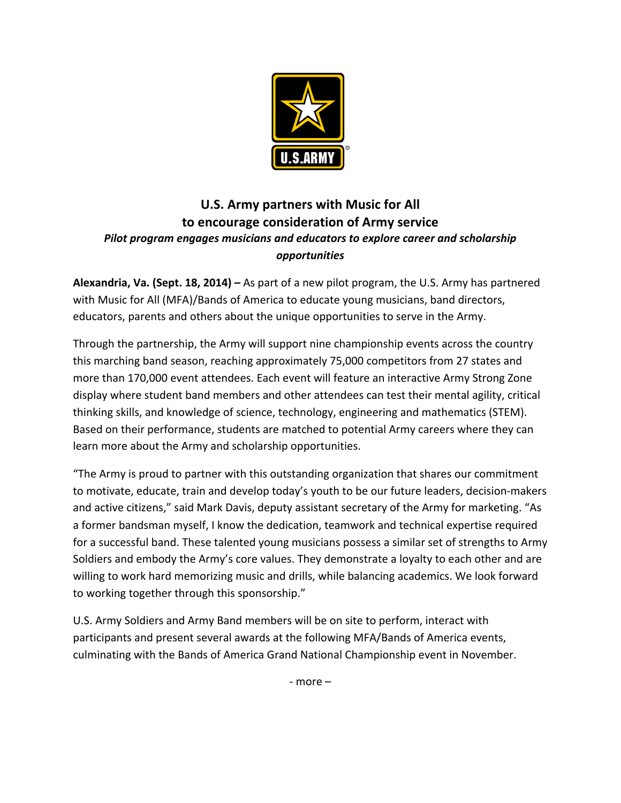

## U.S. Army partners with Music for All **to encourage consideration of Army service** *Pilot* program engages musicians and educators to explore career and scholarship *opportunities*

**Alexandria, Va. (Sept. 18, 2014) – As part of a new pilot program, the U.S. Army has partnered** with Music for All (MFA)/Bands of America to educate young musicians, band directors, educators, parents and others about the unique opportunities to serve in the Army.

Through the partnership, the Army will support nine championship events across the country this marching band season, reaching approximately 75,000 competitors from 27 states and more than 170,000 event attendees. Each event will feature an interactive Army Strong Zone display where student band members and other attendees can test their mental agility, critical thinking skills, and knowledge of science, technology, engineering and mathematics (STEM). Based on their performance, students are matched to potential Army careers where they can learn more about the Army and scholarship opportunities.

"The Army is proud to partner with this outstanding organization that shares our commitment to motivate, educate, train and develop today's youth to be our future leaders, decision-makers and active citizens," said Mark Davis, deputy assistant secretary of the Army for marketing. "As a former bandsman myself, I know the dedication, teamwork and technical expertise required for a successful band. These talented young musicians possess a similar set of strengths to Army Soldiers and embody the Army's core values. They demonstrate a loyalty to each other and are willing to work hard memorizing music and drills, while balancing academics. We look forward to working together through this sponsorship."

U.S. Army Soldiers and Army Band members will be on site to perform, interact with participants and present several awards at the following MFA/Bands of America events, culminating with the Bands of America Grand National Championship event in November.

 $-$  more  $-$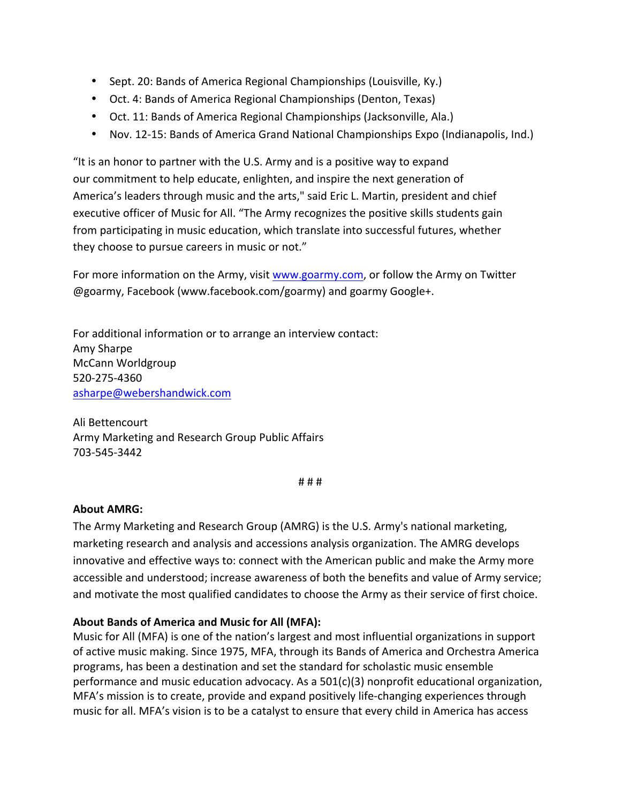- Sept. 20: Bands of America Regional Championships (Louisville, Ky.)
- Oct. 4: Bands of America Regional Championships (Denton, Texas)
- Oct. 11: Bands of America Regional Championships (Jacksonville, Ala.)
- Nov. 12-15: Bands of America Grand National Championships Expo (Indianapolis, Ind.)

"It is an honor to partner with the U.S. Army and is a positive way to expand our commitment to help educate, enlighten, and inspire the next generation of America's leaders through music and the arts," said Eric L. Martin, president and chief executive officer of Music for All. "The Army recognizes the positive skills students gain from participating in music education, which translate into successful futures, whether they choose to pursue careers in music or not."

For more information on the Army, visit www.goarmy.com, or follow the Army on Twitter @goarmy, Facebook (www.facebook.com/goarmy) and goarmy Google+.

For additional information or to arrange an interview contact: Amy Sharpe McCann Worldgroup 520-275-4360 asharpe@webershandwick.com

Ali Bettencourt Army Marketing and Research Group Public Affairs 703-545-3442

# # #

## **About AMRG:**

The Army Marketing and Research Group (AMRG) is the U.S. Army's national marketing, marketing research and analysis and accessions analysis organization. The AMRG develops innovative and effective ways to: connect with the American public and make the Army more accessible and understood; increase awareness of both the benefits and value of Army service; and motivate the most qualified candidates to choose the Army as their service of first choice.

## About Bands of America and Music for All (MFA):

Music for All (MFA) is one of the nation's largest and most influential organizations in support of active music making. Since 1975, MFA, through its Bands of America and Orchestra America programs, has been a destination and set the standard for scholastic music ensemble performance and music education advocacy. As a  $501(c)(3)$  nonprofit educational organization, MFA's mission is to create, provide and expand positively life-changing experiences through music for all. MFA's vision is to be a catalyst to ensure that every child in America has access